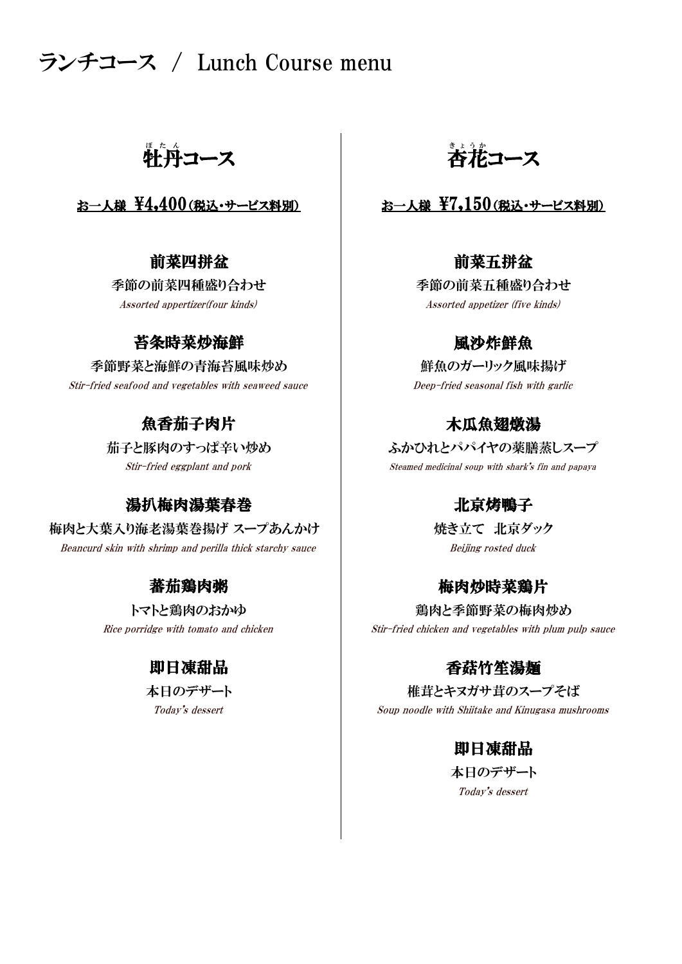# ランチコース / Lunch Course menu

牲丹コース │ 杏花

Assorted appertizer(four kinds) Assorted appetizer (five kinds)

### 苔条時菜炒海鮮

季節野菜と海鮮の青海苔風味炒め 鮮魚のガーリック風味揚げ Stir-fried seafood and vegetables with seaweed sauce Deep-fried seasonal fish with garlic

# 魚香茄子肉片

### 湯扒梅肉湯葉春巻 - - - - - - - - 北京烤鴨子

梅肉と大葉入り海老湯葉巻揚げ スープあんかけ ―――――――――焼き立て 北京ダック Beancurd skin with shrimp and perilla thick starchy sauce and the Beijing rosted duck

### 蕃茄鶏肉粥

# 即日凍甜品

<u>。</u><br>杏花コース

## お一人様  $\frac{1}{2}$ 4,400(税込・サービス料別)  $\qquad$  お一人様  $\frac{1}{2}$ 7,150(税込・サービス料別)

### 前菜四拼盆 前菜五拼盆

季節の前菜四種盛り合わせ 季節の前菜五種盛り合わせ

### 風沙炸鮮魚

### 木瓜魚翅燉湯

Stir-fried eggplant and pork Steamed medicinal soup with shark's fin and papaya 茄子と豚肉のすっぱ辛い炒め ――――― ふかひれとパパイヤの薬膳蒸しスープ

### 梅肉炒時菜鶏片

トマトと鶏肉のおかゆ | 鶏肉と季節野菜の梅肉炒め Rice porridge with tomato and chicken  $\qquad \qquad \qquad \text{Stir-fried chicken and vegetables with plum pulp sauce}$ 

## 香菇竹笙湯麺

Today's dessert The Soup noodle with Shiitake and Kinugasa mushrooms 本日のデザート ファインスコーク おおく 椎茸とキヌガサ茸のスープそば

### 即日凍甜品

Today's dessert 本日のデザート